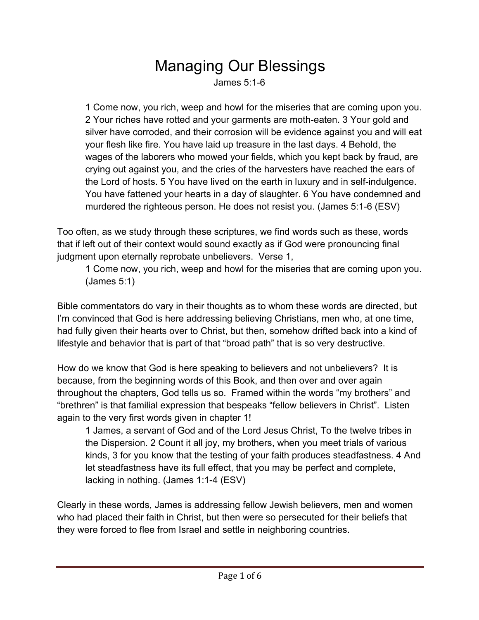## **Managing Our Blessings**<br>James 5:1-6

1 Come now, you rich, weep and howl for the miseries that are coming upon you. 2 Your riches have rotted and your garments are moth-eaten. 3 Your gold and silver have corroded, and their corrosion will be evidence against you and will eat your flesh like fire. You have laid up treasure in the last days. 4 Behold, the wages of the laborers who mowed your fields, which you kept back by fraud, are crying out against you, and the cries of the harvesters have reached the ears of the Lord of hosts. 5 You have lived on the earth in luxury and in self-indulgence. You have fattened your hearts in a day of slaughter. 6 You have condemned and murdered the righteous person. He does not resist you. (James 5:1-6 (ESV)

Too often, as we study through these scriptures, we find words such as these, words that if left out of their context would sound exactly as if God were pronouncing final judgment upon eternally reprobate unbelievers. Verse 1,

1 Come now, you rich, weep and howl for the miseries that are coming upon you. (James 5:1)

Bible commentators do vary in their thoughts as to whom these words are directed, but I'm convinced that God is here addressing believing Christians, men who, at one time, had fully given their hearts over to Christ, but then, somehow drifted back into a kind of lifestyle and behavior that is part of that "broad path" that is so very destructive.

How do we know that God is here speaking to believers and not unbelievers? It is because, from the beginning words of this Book, and then over and over again throughout the chapters, God tells us so. Framed within the words "my brothers" and "brethren" is that familial expression that bespeaks "fellow believers in Christ". Listen again to the very first words given in chapter 1!

1 James, a servant of God and of the Lord Jesus Christ, To the twelve tribes in the Dispersion. 2 Count it all joy, my brothers, when you meet trials of various kinds, 3 for you know that the testing of your faith produces steadfastness. 4 And let steadfastness have its full effect, that you may be perfect and complete, lacking in nothing. (James 1:1-4 (ESV)

Clearly in these words, James is addressing fellow Jewish believers, men and women who had placed their faith in Christ, but then were so persecuted for their beliefs that they were forced to flee from Israel and settle in neighboring countries.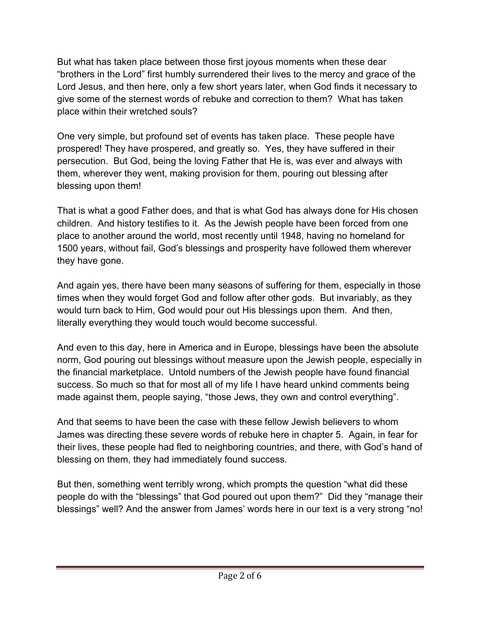But what has taken place between those first joyous moments when these dear "brothers in the Lord" first humbly surrendered their lives to the mercy and grace of the Lord Jesus, and then here, only a few short years later, when God finds it necessary to give some of the sternest words of rebuke and correction to them? What has taken place within their wretched souls?

One very simple, but profound set of events has taken place. These people have prospered! They have prospered, and greatly so. Yes, they have suffered in their persecution. But God, being the loving Father that He is, was ever and always with them, wherever they went, making provision for them, pouring out blessing after blessing upon them!

That is what a good Father does, and that is what God has always done for His chosen children. And history testifies to it. As the Jewish people have been forced from one place to another around the world, most recently until 1948, having no homeland for 1500 years, without fail, God's blessings and prosperity have followed them wherever they have gone.

And again yes, there have been many seasons of suffering for them, especially in those times when they would forget God and follow after other gods. But invariably, as they would turn back to Him, God would pour out His blessings upon them. And then, literally everything they would touch would become successful.

And even to this day, here in America and in Europe, blessings have been the absolute norm, God pouring out blessings without measure upon the Jewish people, especially in the financial marketplace. Untold numbers of the Jewish people have found financial success. So much so that for most all of my life I have heard unkind comments being made against them, people saying, "those Jews, they own and control everything".

And that seems to have been the case with these fellow Jewish believers to whom James was directing these severe words of rebuke here in chapter 5. Again, in fear for their lives, these people had fled to neighboring countries, and there, with God's hand of blessing on them, they had immediately found success.

But then, something went terribly wrong, which prompts the question "what did these people do with the "blessings" that God poured out upon them?" Did they "manage their blessings" well? And the answer from James' words here in our text is a very strong "no!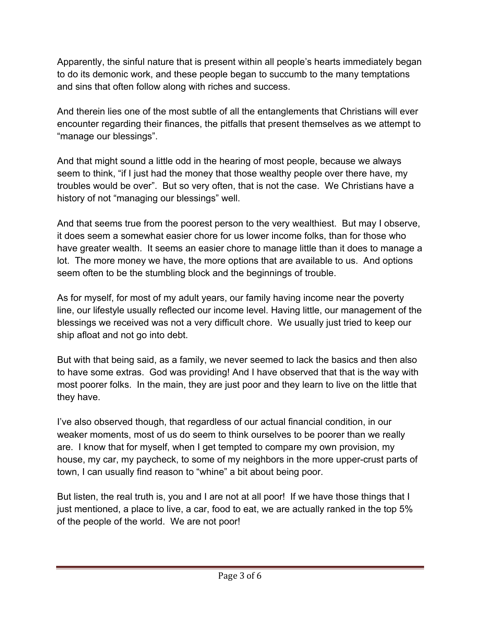Apparently, the sinful nature that is present within all people's hearts immediately began to do its demonic work, and these people began to succumb to the many temptations and sins that often follow along with riches and success.

And therein lies one of the most subtle of all the entanglements that Christians will ever encounter regarding their finances, the pitfalls that present themselves as we attempt to "manage our blessings".

And that might sound a little odd in the hearing of most people, because we always seem to think, "if I just had the money that those wealthy people over there have, my troubles would be over". But so very often, that is not the case. We Christians have a history of not "managing our blessings" well.

And that seems true from the poorest person to the very wealthiest. But may I observe, it does seem a somewhat easier chore for us lower income folks, than for those who have greater wealth. It seems an easier chore to manage little than it does to manage a lot. The more money we have, the more options that are available to us. And options seem often to be the stumbling block and the beginnings of trouble.

As for myself, for most of my adult years, our family having income near the poverty line, our lifestyle usually reflected our income level. Having little, our management of the blessings we received was not a very difficult chore. We usually just tried to keep our ship afloat and not go into debt.

But with that being said, as a family, we never seemed to lack the basics and then also to have some extras. God was providing! And I have observed that that is the way with most poorer folks. In the main, they are just poor and they learn to live on the little that they have.

I've also observed though, that regardless of our actual financial condition, in our weaker moments, most of us do seem to think ourselves to be poorer than we really are. I know that for myself, when I get tempted to compare my own provision, my house, my car, my paycheck, to some of my neighbors in the more upper-crust parts of town, I can usually find reason to "whine" a bit about being poor.

But listen, the real truth is, you and I are not at all poor! If we have those things that I just mentioned, a place to live, a car, food to eat, we are actually ranked in the top 5% of the people of the world. We are not poor!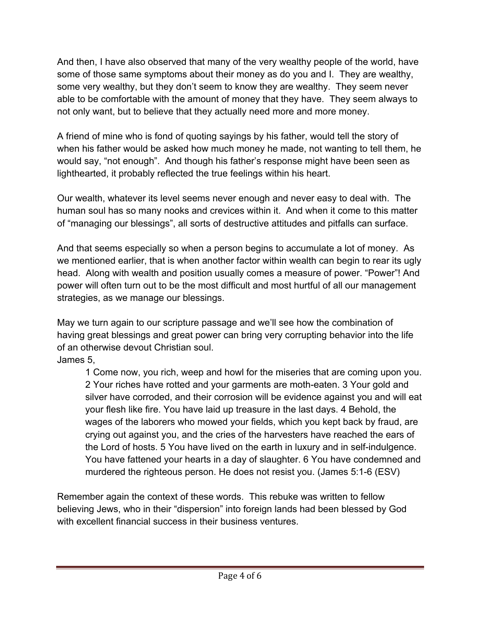And then, I have also observed that many of the very wealthy people of the world, have some of those same symptoms about their money as do you and I. They are wealthy, some very wealthy, but they don't seem to know they are wealthy. They seem never able to be comfortable with the amount of money that they have. They seem always to not only want, but to believe that they actually need more and more money.

A friend of mine who is fond of quoting sayings by his father, would tell the story of when his father would be asked how much money he made, not wanting to tell them, he would say, "not enough". And though his father's response might have been seen as lighthearted, it probably reflected the true feelings within his heart.

Our wealth, whatever its level seems never enough and never easy to deal with. The human soul has so many nooks and crevices within it. And when it come to this matter of "managing our blessings", all sorts of destructive attitudes and pitfalls can surface.

And that seems especially so when a person begins to accumulate a lot of money. As we mentioned earlier, that is when another factor within wealth can begin to rear its ugly head. Along with wealth and position usually comes a measure of power. "Power"! And power will often turn out to be the most difficult and most hurtful of all our management strategies, as we manage our blessings.

May we turn again to our scripture passage and we'll see how the combination of having great blessings and great power can bring very corrupting behavior into the life of an otherwise devout Christian soul.

James 5,

1 Come now, you rich, weep and howl for the miseries that are coming upon you. 2 Your riches have rotted and your garments are moth-eaten. 3 Your gold and silver have corroded, and their corrosion will be evidence against you and will eat your flesh like fire. You have laid up treasure in the last days. 4 Behold, the wages of the laborers who mowed your fields, which you kept back by fraud, are crying out against you, and the cries of the harvesters have reached the ears of the Lord of hosts. 5 You have lived on the earth in luxury and in self-indulgence. You have fattened your hearts in a day of slaughter. 6 You have condemned and murdered the righteous person. He does not resist you. (James 5:1-6 (ESV)

Remember again the context of these words. This rebuke was written to fellow believing Jews, who in their "dispersion" into foreign lands had been blessed by God with excellent financial success in their business ventures.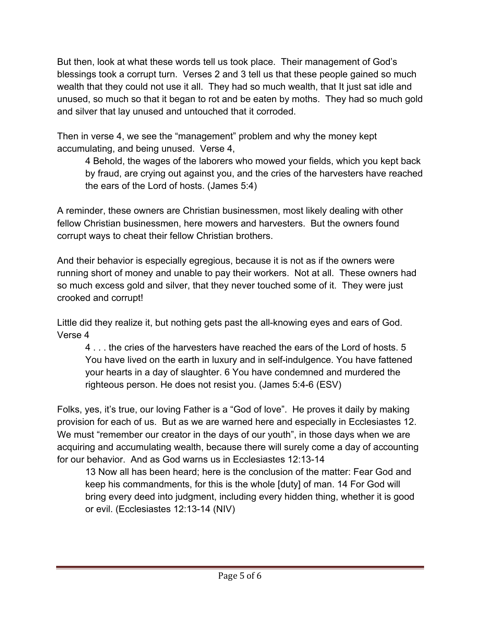But then, look at what these words tell us took place. Their management of God's blessings took a corrupt turn. Verses 2 and 3 tell us that these people gained so much wealth that they could not use it all. They had so much wealth, that It just sat idle and unused, so much so that it began to rot and be eaten by moths. They had so much gold and silver that lay unused and untouched that it corroded.

Then in verse 4, we see the "management" problem and why the money kept accumulating, and being unused. Verse 4,

4 Behold, the wages of the laborers who mowed your fields, which you kept back by fraud, are crying out against you, and the cries of the harvesters have reached the ears of the Lord of hosts. (James 5:4)

A reminder, these owners are Christian businessmen, most likely dealing with other fellow Christian businessmen, here mowers and harvesters. But the owners found corrupt ways to cheat their fellow Christian brothers.

And their behavior is especially egregious, because it is not as if the owners were running short of money and unable to pay their workers. Not at all. These owners had so much excess gold and silver, that they never touched some of it. They were just crooked and corrupt!

Little did they realize it, but nothing gets past the all-knowing eyes and ears of God. Verse 4

4 . . . the cries of the harvesters have reached the ears of the Lord of hosts. 5 You have lived on the earth in luxury and in self-indulgence. You have fattened your hearts in a day of slaughter. 6 You have condemned and murdered the righteous person. He does not resist you. (James 5:4-6 (ESV)

Folks, yes, it's true, our loving Father is a "God of love". He proves it daily by making provision for each of us. But as we are warned here and especially in Ecclesiastes 12. We must "remember our creator in the days of our youth", in those days when we are acquiring and accumulating wealth, because there will surely come a day of accounting for our behavior. And as God warns us in Ecclesiastes 12:13-14

13 Now all has been heard; here is the conclusion of the matter: Fear God and keep his commandments, for this is the whole [duty] of man. 14 For God will bring every deed into judgment, including every hidden thing, whether it is good or evil. (Ecclesiastes 12:13-14 (NIV)